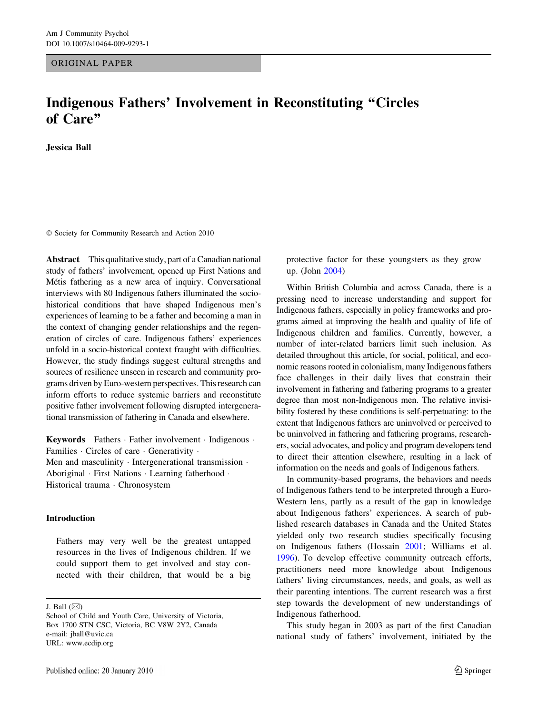## ORIGINAL PAPER

# Indigenous Fathers' Involvement in Reconstituting ''Circles of Care''

Jessica Ball

Society for Community Research and Action 2010

Abstract This qualitative study, part of a Canadian national study of fathers' involvement, opened up First Nations and Métis fathering as a new area of inquiry. Conversational interviews with 80 Indigenous fathers illuminated the sociohistorical conditions that have shaped Indigenous men's experiences of learning to be a father and becoming a man in the context of changing gender relationships and the regeneration of circles of care. Indigenous fathers' experiences unfold in a socio-historical context fraught with difficulties. However, the study findings suggest cultural strengths and sources of resilience unseen in research and community programs driven by Euro-western perspectives. This research can inform efforts to reduce systemic barriers and reconstitute positive father involvement following disrupted intergenerational transmission of fathering in Canada and elsewhere.

**Keywords** Fathers  $\cdot$  Father involvement  $\cdot$  Indigenous  $\cdot$ Families · Circles of care · Generativity · Men and masculinity · Intergenerational transmission · Aboriginal · First Nations · Learning fatherhood · Historical trauma · Chronosystem

## Introduction

Fathers may very well be the greatest untapped resources in the lives of Indigenous children. If we could support them to get involved and stay connected with their children, that would be a big

J. Ball  $(\boxtimes)$ 

protective factor for these youngsters as they grow up. (John [2004\)](#page-13-0)

Within British Columbia and across Canada, there is a pressing need to increase understanding and support for Indigenous fathers, especially in policy frameworks and programs aimed at improving the health and quality of life of Indigenous children and families. Currently, however, a number of inter-related barriers limit such inclusion. As detailed throughout this article, for social, political, and economic reasons rooted in colonialism, many Indigenous fathers face challenges in their daily lives that constrain their involvement in fathering and fathering programs to a greater degree than most non-Indigenous men. The relative invisibility fostered by these conditions is self-perpetuating: to the extent that Indigenous fathers are uninvolved or perceived to be uninvolved in fathering and fathering programs, researchers, social advocates, and policy and program developers tend to direct their attention elsewhere, resulting in a lack of information on the needs and goals of Indigenous fathers.

In community-based programs, the behaviors and needs of Indigenous fathers tend to be interpreted through a Euro-Western lens, partly as a result of the gap in knowledge about Indigenous fathers' experiences. A search of published research databases in Canada and the United States yielded only two research studies specifically focusing on Indigenous fathers (Hossain [2001;](#page-13-0) Williams et al. [1996](#page-14-0)). To develop effective community outreach efforts, practitioners need more knowledge about Indigenous fathers' living circumstances, needs, and goals, as well as their parenting intentions. The current research was a first step towards the development of new understandings of Indigenous fatherhood.

This study began in 2003 as part of the first Canadian national study of fathers' involvement, initiated by the

School of Child and Youth Care, University of Victoria, Box 1700 STN CSC, Victoria, BC V8W 2Y2, Canada e-mail: jball@uvic.ca URL: www.ecdip.org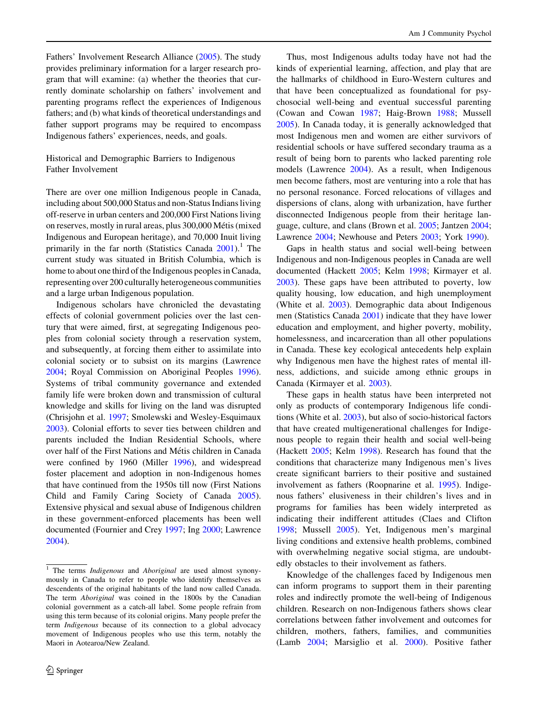Fathers' Involvement Research Alliance [\(2005](#page-12-0)). The study provides preliminary information for a larger research program that will examine: (a) whether the theories that currently dominate scholarship on fathers' involvement and parenting programs reflect the experiences of Indigenous fathers; and (b) what kinds of theoretical understandings and father support programs may be required to encompass Indigenous fathers' experiences, needs, and goals.

## Historical and Demographic Barriers to Indigenous Father Involvement

There are over one million Indigenous people in Canada, including about 500,000 Status and non-Status Indians living off-reserve in urban centers and 200,000 First Nations living on reserves, mostly in rural areas, plus 300,000 Métis (mixed) Indigenous and European heritage), and 70,000 Inuit living primarily in the far north (Statistics Canada  $2001$ ).<sup>1</sup> The current study was situated in British Columbia, which is home to about one third of the Indigenous peoples in Canada, representing over 200 culturally heterogeneous communities and a large urban Indigenous population.

Indigenous scholars have chronicled the devastating effects of colonial government policies over the last century that were aimed, first, at segregating Indigenous peoples from colonial society through a reservation system, and subsequently, at forcing them either to assimilate into colonial society or to subsist on its margins (Lawrence [2004;](#page-13-0) Royal Commission on Aboriginal Peoples [1996](#page-13-0)). Systems of tribal community governance and extended family life were broken down and transmission of cultural knowledge and skills for living on the land was disrupted (Chrisjohn et al. [1997;](#page-12-0) Smolewski and Wesley-Esquimaux [2003\)](#page-14-0). Colonial efforts to sever ties between children and parents included the Indian Residential Schools, where over half of the First Nations and Métis children in Canada were confined by 1960 (Miller [1996\)](#page-13-0), and widespread foster placement and adoption in non-Indigenous homes that have continued from the 1950s till now (First Nations Child and Family Caring Society of Canada [2005](#page-12-0)). Extensive physical and sexual abuse of Indigenous children in these government-enforced placements has been well documented (Fournier and Crey [1997;](#page-13-0) Ing [2000](#page-13-0); Lawrence [2004\)](#page-13-0).

Thus, most Indigenous adults today have not had the kinds of experiential learning, affection, and play that are the hallmarks of childhood in Euro-Western cultures and that have been conceptualized as foundational for psychosocial well-being and eventual successful parenting (Cowan and Cowan [1987;](#page-12-0) Haig-Brown [1988;](#page-13-0) Mussell [2005](#page-13-0)). In Canada today, it is generally acknowledged that most Indigenous men and women are either survivors of residential schools or have suffered secondary trauma as a result of being born to parents who lacked parenting role models (Lawrence [2004\)](#page-13-0). As a result, when Indigenous men become fathers, most are venturing into a role that has no personal resonance. Forced relocations of villages and dispersions of clans, along with urbanization, have further disconnected Indigenous people from their heritage language, culture, and clans (Brown et al. [2005](#page-12-0); Jantzen [2004](#page-13-0); Lawrence [2004;](#page-13-0) Newhouse and Peters [2003;](#page-13-0) York [1990\)](#page-14-0).

Gaps in health status and social well-being between Indigenous and non-Indigenous peoples in Canada are well documented (Hackett [2005;](#page-13-0) Kelm [1998;](#page-13-0) Kirmayer et al. [2003](#page-13-0)). These gaps have been attributed to poverty, low quality housing, low education, and high unemployment (White et al. [2003\)](#page-14-0). Demographic data about Indigenous men (Statistics Canada [2001](#page-14-0)) indicate that they have lower education and employment, and higher poverty, mobility, homelessness, and incarceration than all other populations in Canada. These key ecological antecedents help explain why Indigenous men have the highest rates of mental illness, addictions, and suicide among ethnic groups in Canada (Kirmayer et al. [2003](#page-13-0)).

These gaps in health status have been interpreted not only as products of contemporary Indigenous life conditions (White et al. [2003](#page-14-0)), but also of socio-historical factors that have created multigenerational challenges for Indigenous people to regain their health and social well-being (Hackett [2005;](#page-13-0) Kelm [1998\)](#page-13-0). Research has found that the conditions that characterize many Indigenous men's lives create significant barriers to their positive and sustained involvement as fathers (Roopnarine et al. [1995](#page-13-0)). Indigenous fathers' elusiveness in their children's lives and in programs for families has been widely interpreted as indicating their indifferent attitudes (Claes and Clifton [1998](#page-12-0); Mussell [2005\)](#page-13-0). Yet, Indigenous men's marginal living conditions and extensive health problems, combined with overwhelming negative social stigma, are undoubtedly obstacles to their involvement as fathers.

Knowledge of the challenges faced by Indigenous men can inform programs to support them in their parenting roles and indirectly promote the well-being of Indigenous children. Research on non-Indigenous fathers shows clear correlations between father involvement and outcomes for children, mothers, fathers, families, and communities (Lamb [2004](#page-13-0); Marsiglio et al. [2000](#page-13-0)). Positive father

<sup>&</sup>lt;sup>1</sup> The terms *Indigenous* and *Aboriginal* are used almost synonymously in Canada to refer to people who identify themselves as descendents of the original habitants of the land now called Canada. The term Aboriginal was coined in the 1800s by the Canadian colonial government as a catch-all label. Some people refrain from using this term because of its colonial origins. Many people prefer the term Indigenous because of its connection to a global advocacy movement of Indigenous peoples who use this term, notably the Maori in Aotearoa/New Zealand.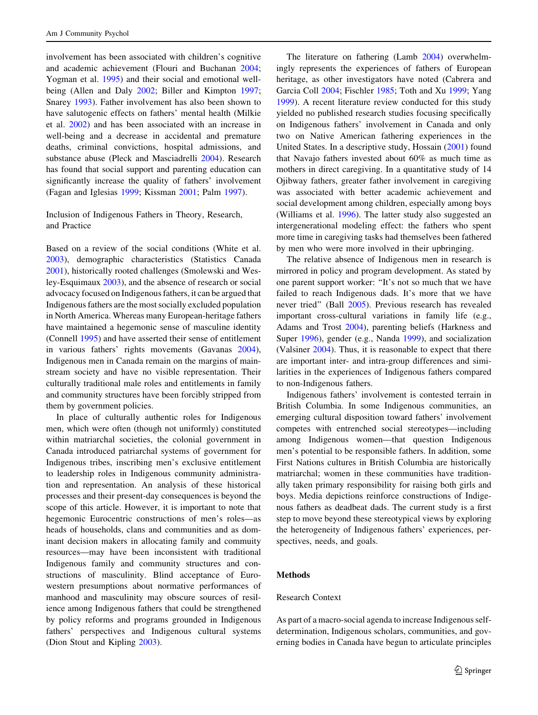involvement has been associated with children's cognitive and academic achievement (Flouri and Buchanan [2004](#page-13-0); Yogman et al. [1995](#page-14-0)) and their social and emotional wellbeing (Allen and Daly [2002;](#page-12-0) Biller and Kimpton [1997](#page-12-0); Snarey [1993](#page-14-0)). Father involvement has also been shown to have salutogenic effects on fathers' mental health (Milkie et al. [2002](#page-13-0)) and has been associated with an increase in well-being and a decrease in accidental and premature deaths, criminal convictions, hospital admissions, and substance abuse (Pleck and Masciadrelli [2004\)](#page-13-0). Research has found that social support and parenting education can significantly increase the quality of fathers' involvement (Fagan and Iglesias [1999;](#page-12-0) Kissman [2001](#page-13-0); Palm [1997](#page-13-0)).

Inclusion of Indigenous Fathers in Theory, Research, and Practice

Based on a review of the social conditions (White et al. [2003\)](#page-14-0), demographic characteristics (Statistics Canada [2001\)](#page-14-0), historically rooted challenges (Smolewski and Wesley-Esquimaux [2003](#page-14-0)), and the absence of research or social advocacy focused on Indigenous fathers, it can be argued that Indigenous fathers are the most socially excluded population in North America. Whereas many European-heritage fathers have maintained a hegemonic sense of masculine identity (Connell [1995\)](#page-12-0) and have asserted their sense of entitlement in various fathers' rights movements (Gavanas [2004](#page-13-0)), Indigenous men in Canada remain on the margins of mainstream society and have no visible representation. Their culturally traditional male roles and entitlements in family and community structures have been forcibly stripped from them by government policies.

In place of culturally authentic roles for Indigenous men, which were often (though not uniformly) constituted within matriarchal societies, the colonial government in Canada introduced patriarchal systems of government for Indigenous tribes, inscribing men's exclusive entitlement to leadership roles in Indigenous community administration and representation. An analysis of these historical processes and their present-day consequences is beyond the scope of this article. However, it is important to note that hegemonic Eurocentric constructions of men's roles—as heads of households, clans and communities and as dominant decision makers in allocating family and commuity resources—may have been inconsistent with traditional Indigenous family and community structures and constructions of masculinity. Blind acceptance of Eurowestern presumptions about normative performances of manhood and masculinity may obscure sources of resilience among Indigenous fathers that could be strengthened by policy reforms and programs grounded in Indigenous fathers' perspectives and Indigenous cultural systems (Dion Stout and Kipling [2003\)](#page-12-0).

The literature on fathering (Lamb [2004\)](#page-13-0) overwhelmingly represents the experiences of fathers of European heritage, as other investigators have noted (Cabrera and Garcia Coll [2004;](#page-12-0) Fischler [1985;](#page-13-0) Toth and Xu [1999;](#page-14-0) Yang [1999](#page-14-0)). A recent literature review conducted for this study yielded no published research studies focusing specifically on Indigenous fathers' involvement in Canada and only two on Native American fathering experiences in the United States. In a descriptive study, Hossain ([2001\)](#page-13-0) found that Navajo fathers invested about 60% as much time as mothers in direct caregiving. In a quantitative study of 14 Ojibway fathers, greater father involvement in caregiving was associated with better academic achievement and social development among children, especially among boys (Williams et al. [1996](#page-14-0)). The latter study also suggested an intergenerational modeling effect: the fathers who spent more time in caregiving tasks had themselves been fathered by men who were more involved in their upbringing.

The relative absence of Indigenous men in research is mirrored in policy and program development. As stated by one parent support worker: ''It's not so much that we have failed to reach Indigenous dads. It's more that we have never tried'' (Ball [2005](#page-12-0)). Previous research has revealed important cross-cultural variations in family life (e.g., Adams and Trost [2004](#page-12-0)), parenting beliefs (Harkness and Super [1996\)](#page-13-0), gender (e.g., Nanda [1999](#page-13-0)), and socialization (Valsiner [2004](#page-14-0)). Thus, it is reasonable to expect that there are important inter- and intra-group differences and similarities in the experiences of Indigenous fathers compared to non-Indigenous fathers.

Indigenous fathers' involvement is contested terrain in British Columbia. In some Indigenous communities, an emerging cultural disposition toward fathers' involvement competes with entrenched social stereotypes—including among Indigenous women—that question Indigenous men's potential to be responsible fathers. In addition, some First Nations cultures in British Columbia are historically matriarchal; women in these communities have traditionally taken primary responsibility for raising both girls and boys. Media depictions reinforce constructions of Indigenous fathers as deadbeat dads. The current study is a first step to move beyond these stereotypical views by exploring the heterogeneity of Indigenous fathers' experiences, perspectives, needs, and goals.

## Methods

## Research Context

As part of a macro-social agenda to increase Indigenous selfdetermination, Indigenous scholars, communities, and governing bodies in Canada have begun to articulate principles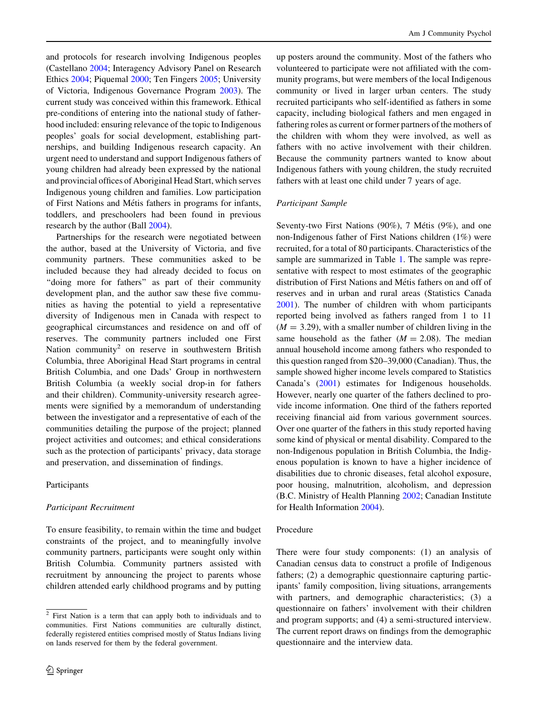and protocols for research involving Indigenous peoples (Castellano [2004](#page-12-0); Interagency Advisory Panel on Research Ethics [2004;](#page-13-0) Piquemal [2000;](#page-13-0) Ten Fingers [2005](#page-14-0); University of Victoria, Indigenous Governance Program [2003](#page-14-0)). The current study was conceived within this framework. Ethical pre-conditions of entering into the national study of fatherhood included: ensuring relevance of the topic to Indigenous peoples' goals for social development, establishing partnerships, and building Indigenous research capacity. An urgent need to understand and support Indigenous fathers of young children had already been expressed by the national and provincial offices of Aboriginal Head Start, which serves Indigenous young children and families. Low participation of First Nations and Métis fathers in programs for infants, toddlers, and preschoolers had been found in previous research by the author (Ball [2004\)](#page-12-0).

Partnerships for the research were negotiated between the author, based at the University of Victoria, and five community partners. These communities asked to be included because they had already decided to focus on ''doing more for fathers'' as part of their community development plan, and the author saw these five communities as having the potential to yield a representative diversity of Indigenous men in Canada with respect to geographical circumstances and residence on and off of reserves. The community partners included one First Nation community<sup>2</sup> on reserve in southwestern British Columbia, three Aboriginal Head Start programs in central British Columbia, and one Dads' Group in northwestern British Columbia (a weekly social drop-in for fathers and their children). Community-university research agreements were signified by a memorandum of understanding between the investigator and a representative of each of the communities detailing the purpose of the project; planned project activities and outcomes; and ethical considerations such as the protection of participants' privacy, data storage and preservation, and dissemination of findings.

## Participants

## Participant Recruitment

To ensure feasibility, to remain within the time and budget constraints of the project, and to meaningfully involve community partners, participants were sought only within British Columbia. Community partners assisted with recruitment by announcing the project to parents whose children attended early childhood programs and by putting

up posters around the community. Most of the fathers who volunteered to participate were not affiliated with the community programs, but were members of the local Indigenous community or lived in larger urban centers. The study recruited participants who self-identified as fathers in some capacity, including biological fathers and men engaged in fathering roles as current or former partners of the mothers of the children with whom they were involved, as well as fathers with no active involvement with their children. Because the community partners wanted to know about Indigenous fathers with young children, the study recruited fathers with at least one child under 7 years of age.

## Participant Sample

Seventy-two First Nations  $(90\%)$ , 7 Métis  $(9\%)$ , and one non-Indigenous father of First Nations children (1%) were recruited, for a total of 80 participants. Characteristics of the sample are summarized in Table [1.](#page-4-0) The sample was representative with respect to most estimates of the geographic distribution of First Nations and Métis fathers on and off of reserves and in urban and rural areas (Statistics Canada [2001](#page-14-0)). The number of children with whom participants reported being involved as fathers ranged from 1 to 11  $(M = 3.29)$ , with a smaller number of children living in the same household as the father  $(M = 2.08)$ . The median annual household income among fathers who responded to this question ranged from \$20–39,000 (Canadian). Thus, the sample showed higher income levels compared to Statistics Canada's [\(2001](#page-14-0)) estimates for Indigenous households. However, nearly one quarter of the fathers declined to provide income information. One third of the fathers reported receiving financial aid from various government sources. Over one quarter of the fathers in this study reported having some kind of physical or mental disability. Compared to the non-Indigenous population in British Columbia, the Indigenous population is known to have a higher incidence of disabilities due to chronic diseases, fetal alcohol exposure, poor housing, malnutrition, alcoholism, and depression (B.C. Ministry of Health Planning [2002;](#page-12-0) Canadian Institute for Health Information [2004\)](#page-12-0).

#### Procedure

There were four study components: (1) an analysis of Canadian census data to construct a profile of Indigenous fathers; (2) a demographic questionnaire capturing participants' family composition, living situations, arrangements with partners, and demographic characteristics; (3) a questionnaire on fathers' involvement with their children and program supports; and (4) a semi-structured interview. The current report draws on findings from the demographic questionnaire and the interview data.

 $\frac{2}{\pi}$  First Nation is a term that can apply both to individuals and to communities. First Nations communities are culturally distinct, federally registered entities comprised mostly of Status Indians living on lands reserved for them by the federal government.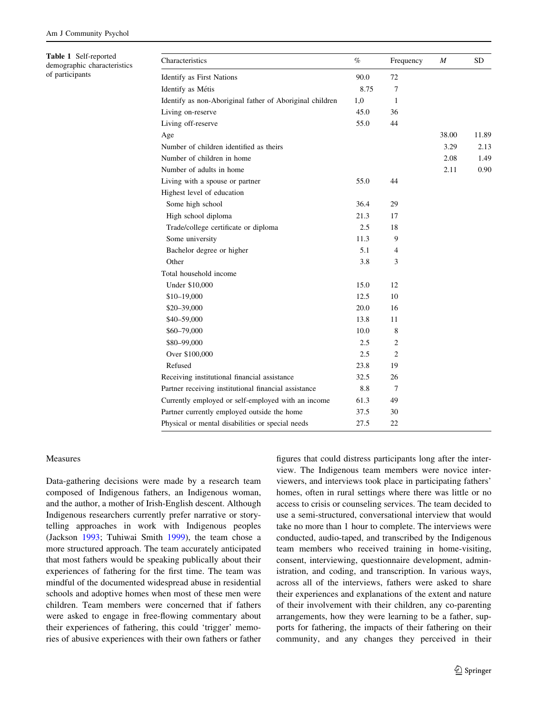<span id="page-4-0"></span>Table 1 Self-reported demographic characteristics of participants

| Characteristics                                          | $\%$ | Frequency      | M     | <b>SD</b> |
|----------------------------------------------------------|------|----------------|-------|-----------|
| <b>Identify as First Nations</b>                         | 90.0 | 72             |       |           |
| Identify as Métis                                        | 8.75 | $\overline{7}$ |       |           |
| Identify as non-Aboriginal father of Aboriginal children | 1,0  | 1              |       |           |
| Living on-reserve                                        | 45.0 | 36             |       |           |
| Living off-reserve                                       | 55.0 | 44             |       |           |
| Age                                                      |      |                | 38.00 | 11.89     |
| Number of children identified as theirs                  |      |                | 3.29  | 2.13      |
| Number of children in home                               |      |                | 2.08  | 1.49      |
| Number of adults in home                                 |      |                | 2.11  | 0.90      |
| Living with a spouse or partner                          | 55.0 | 44             |       |           |
| Highest level of education                               |      |                |       |           |
| Some high school                                         | 36.4 | 29             |       |           |
| High school diploma                                      | 21.3 | 17             |       |           |
| Trade/college certificate or diploma                     | 2.5  | 18             |       |           |
| Some university                                          | 11.3 | 9              |       |           |
| Bachelor degree or higher                                | 5.1  | 4              |       |           |
| Other                                                    | 3.8  | 3              |       |           |
| Total household income                                   |      |                |       |           |
| Under \$10,000                                           | 15.0 | 12             |       |           |
| $$10-19,000$                                             | 12.5 | 10             |       |           |
| \$20-39,000                                              | 20.0 | 16             |       |           |
| \$40-59,000                                              | 13.8 | 11             |       |           |
| \$60-79,000                                              | 10.0 | 8              |       |           |
| \$80-99,000                                              | 2.5  | 2              |       |           |
| Over \$100,000                                           | 2.5  | $\overline{2}$ |       |           |
| Refused                                                  | 23.8 | 19             |       |           |
| Receiving institutional financial assistance             | 32.5 | 26             |       |           |
| Partner receiving institutional financial assistance     | 8.8  | $\overline{7}$ |       |           |
| Currently employed or self-employed with an income       | 61.3 | 49             |       |           |
| Partner currently employed outside the home              | 37.5 | 30             |       |           |
| Physical or mental disabilities or special needs         | 27.5 | 22             |       |           |

#### Measures

Data-gathering decisions were made by a research team composed of Indigenous fathers, an Indigenous woman, and the author, a mother of Irish-English descent. Although Indigenous researchers currently prefer narrative or storytelling approaches in work with Indigenous peoples (Jackson [1993;](#page-13-0) Tuhiwai Smith [1999](#page-14-0)), the team chose a more structured approach. The team accurately anticipated that most fathers would be speaking publically about their experiences of fathering for the first time. The team was mindful of the documented widespread abuse in residential schools and adoptive homes when most of these men were children. Team members were concerned that if fathers were asked to engage in free-flowing commentary about their experiences of fathering, this could 'trigger' memories of abusive experiences with their own fathers or father figures that could distress participants long after the interview. The Indigenous team members were novice interviewers, and interviews took place in participating fathers' homes, often in rural settings where there was little or no access to crisis or counseling services. The team decided to use a semi-structured, conversational interview that would take no more than 1 hour to complete. The interviews were conducted, audio-taped, and transcribed by the Indigenous team members who received training in home-visiting, consent, interviewing, questionnaire development, administration, and coding, and transcription. In various ways, across all of the interviews, fathers were asked to share their experiences and explanations of the extent and nature of their involvement with their children, any co-parenting arrangements, how they were learning to be a father, supports for fathering, the impacts of their fathering on their community, and any changes they perceived in their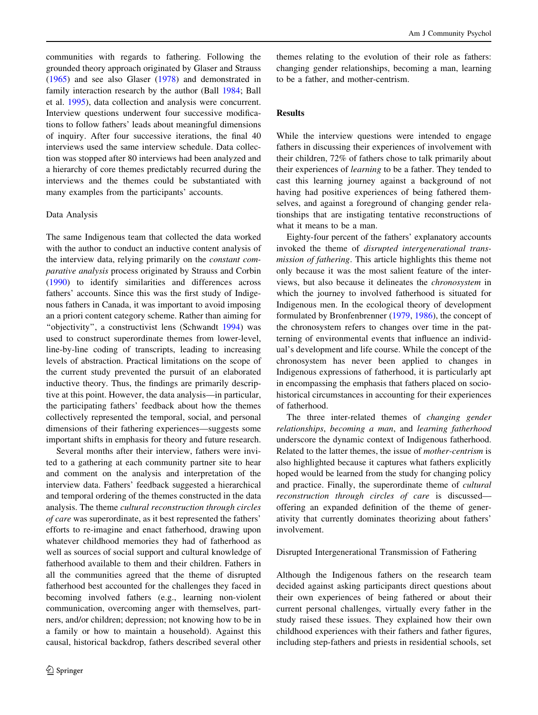communities with regards to fathering. Following the grounded theory approach originated by Glaser and Strauss [\(1965](#page-13-0)) and see also Glaser ([1978\)](#page-13-0) and demonstrated in family interaction research by the author (Ball [1984](#page-12-0); Ball et al. [1995\)](#page-12-0), data collection and analysis were concurrent. Interview questions underwent four successive modifications to follow fathers' leads about meaningful dimensions of inquiry. After four successive iterations, the final 40 interviews used the same interview schedule. Data collection was stopped after 80 interviews had been analyzed and a hierarchy of core themes predictably recurred during the interviews and the themes could be substantiated with many examples from the participants' accounts.

#### Data Analysis

The same Indigenous team that collected the data worked with the author to conduct an inductive content analysis of the interview data, relying primarily on the constant comparative analysis process originated by Strauss and Corbin [\(1990](#page-14-0)) to identify similarities and differences across fathers' accounts. Since this was the first study of Indigenous fathers in Canada, it was important to avoid imposing an a priori content category scheme. Rather than aiming for "objectivity", a constructivist lens (Schwandt [1994](#page-13-0)) was used to construct superordinate themes from lower-level, line-by-line coding of transcripts, leading to increasing levels of abstraction. Practical limitations on the scope of the current study prevented the pursuit of an elaborated inductive theory. Thus, the findings are primarily descriptive at this point. However, the data analysis—in particular, the participating fathers' feedback about how the themes collectively represented the temporal, social, and personal dimensions of their fathering experiences—suggests some important shifts in emphasis for theory and future research.

Several months after their interview, fathers were invited to a gathering at each community partner site to hear and comment on the analysis and interpretation of the interview data. Fathers' feedback suggested a hierarchical and temporal ordering of the themes constructed in the data analysis. The theme cultural reconstruction through circles of care was superordinate, as it best represented the fathers' efforts to re-imagine and enact fatherhood, drawing upon whatever childhood memories they had of fatherhood as well as sources of social support and cultural knowledge of fatherhood available to them and their children. Fathers in all the communities agreed that the theme of disrupted fatherhood best accounted for the challenges they faced in becoming involved fathers (e.g., learning non-violent communication, overcoming anger with themselves, partners, and/or children; depression; not knowing how to be in a family or how to maintain a household). Against this causal, historical backdrop, fathers described several other

themes relating to the evolution of their role as fathers: changing gender relationships, becoming a man, learning to be a father, and mother-centrism.

# Results

While the interview questions were intended to engage fathers in discussing their experiences of involvement with their children, 72% of fathers chose to talk primarily about their experiences of learning to be a father. They tended to cast this learning journey against a background of not having had positive experiences of being fathered themselves, and against a foreground of changing gender relationships that are instigating tentative reconstructions of what it means to be a man.

Eighty-four percent of the fathers' explanatory accounts invoked the theme of disrupted intergenerational transmission of fathering. This article highlights this theme not only because it was the most salient feature of the interviews, but also because it delineates the chronosystem in which the journey to involved fatherhood is situated for Indigenous men. In the ecological theory of development formulated by Bronfenbrenner [\(1979](#page-12-0), [1986](#page-12-0)), the concept of the chronosystem refers to changes over time in the patterning of environmental events that influence an individual's development and life course. While the concept of the chronosystem has never been applied to changes in Indigenous expressions of fatherhood, it is particularly apt in encompassing the emphasis that fathers placed on sociohistorical circumstances in accounting for their experiences of fatherhood.

The three inter-related themes of *changing gender* relationships, becoming a man, and learning fatherhood underscore the dynamic context of Indigenous fatherhood. Related to the latter themes, the issue of mother-centrism is also highlighted because it captures what fathers explicitly hoped would be learned from the study for changing policy and practice. Finally, the superordinate theme of cultural reconstruction through circles of care is discussed offering an expanded definition of the theme of generativity that currently dominates theorizing about fathers' involvement.

#### Disrupted Intergenerational Transmission of Fathering

Although the Indigenous fathers on the research team decided against asking participants direct questions about their own experiences of being fathered or about their current personal challenges, virtually every father in the study raised these issues. They explained how their own childhood experiences with their fathers and father figures, including step-fathers and priests in residential schools, set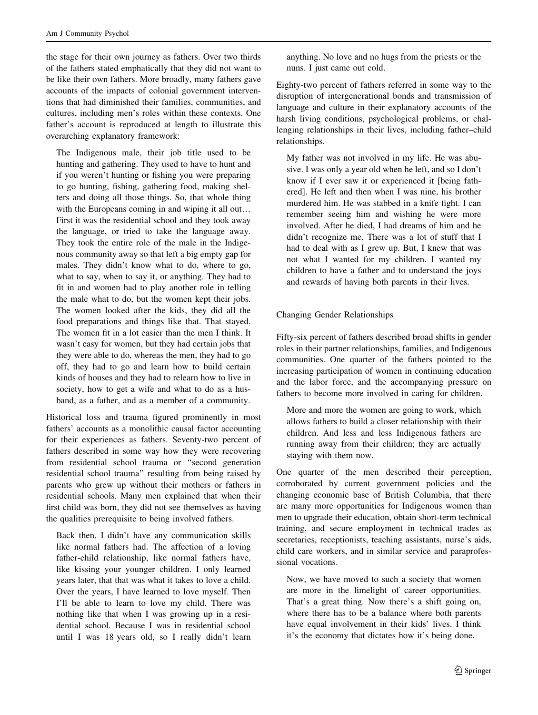the stage for their own journey as fathers. Over two thirds of the fathers stated emphatically that they did not want to be like their own fathers. More broadly, many fathers gave accounts of the impacts of colonial government interventions that had diminished their families, communities, and cultures, including men's roles within these contexts. One father's account is reproduced at length to illustrate this overarching explanatory framework:

The Indigenous male, their job title used to be hunting and gathering. They used to have to hunt and if you weren't hunting or fishing you were preparing to go hunting, fishing, gathering food, making shelters and doing all those things. So, that whole thing with the Europeans coming in and wiping it all out... First it was the residential school and they took away the language, or tried to take the language away. They took the entire role of the male in the Indigenous community away so that left a big empty gap for males. They didn't know what to do, where to go, what to say, when to say it, or anything. They had to fit in and women had to play another role in telling the male what to do, but the women kept their jobs. The women looked after the kids, they did all the food preparations and things like that. That stayed. The women fit in a lot easier than the men I think. It wasn't easy for women, but they had certain jobs that they were able to do, whereas the men, they had to go off, they had to go and learn how to build certain kinds of houses and they had to relearn how to live in society, how to get a wife and what to do as a husband, as a father, and as a member of a community.

Historical loss and trauma figured prominently in most fathers' accounts as a monolithic causal factor accounting for their experiences as fathers. Seventy-two percent of fathers described in some way how they were recovering from residential school trauma or ''second generation residential school trauma'' resulting from being raised by parents who grew up without their mothers or fathers in residential schools. Many men explained that when their first child was born, they did not see themselves as having the qualities prerequisite to being involved fathers.

Back then, I didn't have any communication skills like normal fathers had. The affection of a loving father-child relationship, like normal fathers have, like kissing your younger children. I only learned years later, that that was what it takes to love a child. Over the years, I have learned to love myself. Then I'll be able to learn to love my child. There was nothing like that when I was growing up in a residential school. Because I was in residential school until I was 18 years old, so I really didn't learn anything. No love and no hugs from the priests or the nuns. I just came out cold.

Eighty-two percent of fathers referred in some way to the disruption of intergenerational bonds and transmission of language and culture in their explanatory accounts of the harsh living conditions, psychological problems, or challenging relationships in their lives, including father–child relationships.

My father was not involved in my life. He was abusive. I was only a year old when he left, and so I don't know if I ever saw it or experienced it [being fathered]. He left and then when I was nine, his brother murdered him. He was stabbed in a knife fight. I can remember seeing him and wishing he were more involved. After he died, I had dreams of him and he didn't recognize me. There was a lot of stuff that I had to deal with as I grew up. But, I knew that was not what I wanted for my children. I wanted my children to have a father and to understand the joys and rewards of having both parents in their lives.

# Changing Gender Relationships

Fifty-six percent of fathers described broad shifts in gender roles in their partner relationships, families, and Indigenous communities. One quarter of the fathers pointed to the increasing participation of women in continuing education and the labor force, and the accompanying pressure on fathers to become more involved in caring for children.

More and more the women are going to work, which allows fathers to build a closer relationship with their children. And less and less Indigenous fathers are running away from their children; they are actually staying with them now.

One quarter of the men described their perception, corroborated by current government policies and the changing economic base of British Columbia, that there are many more opportunities for Indigenous women than men to upgrade their education, obtain short-term technical training, and secure employment in technical trades as secretaries, receptionists, teaching assistants, nurse's aids, child care workers, and in similar service and paraprofessional vocations.

Now, we have moved to such a society that women are more in the limelight of career opportunities. That's a great thing. Now there's a shift going on, where there has to be a balance where both parents have equal involvement in their kids' lives. I think it's the economy that dictates how it's being done.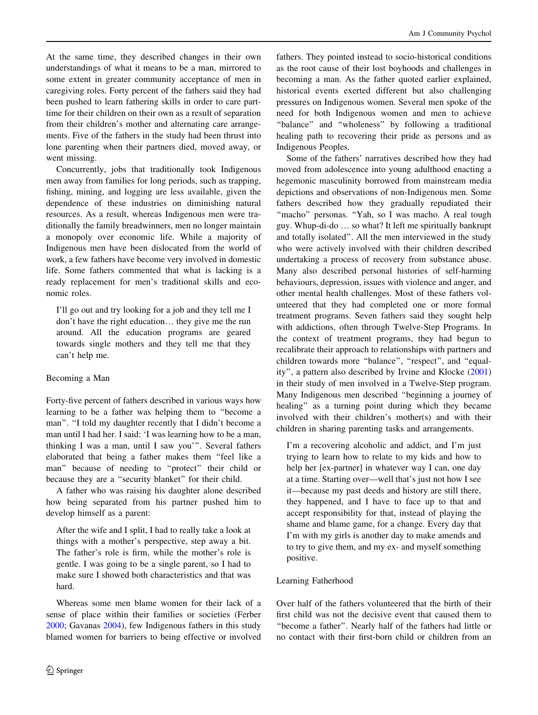At the same time, they described changes in their own understandings of what it means to be a man, mirrored to some extent in greater community acceptance of men in caregiving roles. Forty percent of the fathers said they had been pushed to learn fathering skills in order to care parttime for their children on their own as a result of separation from their children's mother and alternating care arrangements. Five of the fathers in the study had been thrust into lone parenting when their partners died, moved away, or went missing.

Concurrently, jobs that traditionally took Indigenous men away from families for long periods, such as trapping, fishing, mining, and logging are less available, given the dependence of these industries on diminishing natural resources. As a result, whereas Indigenous men were traditionally the family breadwinners, men no longer maintain a monopoly over economic life. While a majority of Indigenous men have been dislocated from the world of work, a few fathers have become very involved in domestic life. Some fathers commented that what is lacking is a ready replacement for men's traditional skills and economic roles.

I'll go out and try looking for a job and they tell me I don't have the right education… they give me the run around. All the education programs are geared towards single mothers and they tell me that they can't help me.

# Becoming a Man

Forty-five percent of fathers described in various ways how learning to be a father was helping them to ''become a man''. ''I told my daughter recently that I didn't become a man until I had her. I said: 'I was learning how to be a man, thinking I was a man, until I saw you'''. Several fathers elaborated that being a father makes them ''feel like a man'' because of needing to ''protect'' their child or because they are a ''security blanket'' for their child.

A father who was raising his daughter alone described how being separated from his partner pushed him to develop himself as a parent:

After the wife and I split, I had to really take a look at things with a mother's perspective, step away a bit. The father's role is firm, while the mother's role is gentle. I was going to be a single parent, so I had to make sure I showed both characteristics and that was hard.

Whereas some men blame women for their lack of a sense of place within their families or societies (Ferber [2000;](#page-12-0) Gavanas [2004](#page-13-0)), few Indigenous fathers in this study blamed women for barriers to being effective or involved

fathers. They pointed instead to socio-historical conditions as the root cause of their lost boyhoods and challenges in becoming a man. As the father quoted earlier explained, historical events exerted different but also challenging pressures on Indigenous women. Several men spoke of the need for both Indigenous women and men to achieve ''balance'' and ''wholeness'' by following a traditional healing path to recovering their pride as persons and as Indigenous Peoples.

Some of the fathers' narratives described how they had moved from adolescence into young adulthood enacting a hegemonic masculinity borrowed from mainstream media depictions and observations of non-Indigenous men. Some fathers described how they gradually repudiated their "macho" personas. "Yah, so I was macho. A real tough guy. Whup-di-do … so what? It left me spiritually bankrupt and totally isolated''. All the men interviewed in the study who were actively involved with their children described undertaking a process of recovery from substance abuse. Many also described personal histories of self-harming behaviours, depression, issues with violence and anger, and other mental health challenges. Most of these fathers volunteered that they had completed one or more formal treatment programs. Seven fathers said they sought help with addictions, often through Twelve-Step Programs. In the context of treatment programs, they had begun to recalibrate their approach to relationships with partners and children towards more "balance", "respect", and "equality'', a pattern also described by Irvine and Klocke ([2001\)](#page-13-0) in their study of men involved in a Twelve-Step program. Many Indigenous men described ''beginning a journey of healing" as a turning point during which they became involved with their children's mother(s) and with their children in sharing parenting tasks and arrangements.

I'm a recovering alcoholic and addict, and I'm just trying to learn how to relate to my kids and how to help her [ex-partner] in whatever way I can, one day at a time. Starting over—well that's just not how I see it—because my past deeds and history are still there, they happened, and I have to face up to that and accept responsibility for that, instead of playing the shame and blame game, for a change. Every day that I'm with my girls is another day to make amends and to try to give them, and my ex- and myself something positive.

# Learning Fatherhood

Over half of the fathers volunteered that the birth of their first child was not the decisive event that caused them to "become a father". Nearly half of the fathers had little or no contact with their first-born child or children from an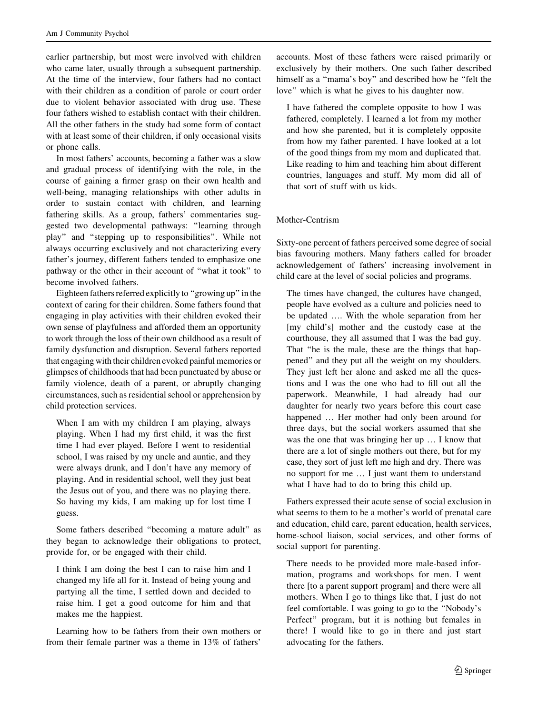earlier partnership, but most were involved with children who came later, usually through a subsequent partnership. At the time of the interview, four fathers had no contact with their children as a condition of parole or court order due to violent behavior associated with drug use. These four fathers wished to establish contact with their children. All the other fathers in the study had some form of contact with at least some of their children, if only occasional visits or phone calls.

In most fathers' accounts, becoming a father was a slow and gradual process of identifying with the role, in the course of gaining a firmer grasp on their own health and well-being, managing relationships with other adults in order to sustain contact with children, and learning fathering skills. As a group, fathers' commentaries suggested two developmental pathways: ''learning through play'' and ''stepping up to responsibilities''. While not always occurring exclusively and not characterizing every father's journey, different fathers tended to emphasize one pathway or the other in their account of ''what it took'' to become involved fathers.

Eighteen fathers referred explicitly to ''growing up'' in the context of caring for their children. Some fathers found that engaging in play activities with their children evoked their own sense of playfulness and afforded them an opportunity to work through the loss of their own childhood as a result of family dysfunction and disruption. Several fathers reported that engaging with their children evoked painful memories or glimpses of childhoods that had been punctuated by abuse or family violence, death of a parent, or abruptly changing circumstances, such as residential school or apprehension by child protection services.

When I am with my children I am playing, always playing. When I had my first child, it was the first time I had ever played. Before I went to residential school, I was raised by my uncle and auntie, and they were always drunk, and I don't have any memory of playing. And in residential school, well they just beat the Jesus out of you, and there was no playing there. So having my kids, I am making up for lost time I guess.

Some fathers described ''becoming a mature adult'' as they began to acknowledge their obligations to protect, provide for, or be engaged with their child.

I think I am doing the best I can to raise him and I changed my life all for it. Instead of being young and partying all the time, I settled down and decided to raise him. I get a good outcome for him and that makes me the happiest.

Learning how to be fathers from their own mothers or from their female partner was a theme in 13% of fathers'

accounts. Most of these fathers were raised primarily or exclusively by their mothers. One such father described himself as a ''mama's boy'' and described how he ''felt the love'' which is what he gives to his daughter now.

I have fathered the complete opposite to how I was fathered, completely. I learned a lot from my mother and how she parented, but it is completely opposite from how my father parented. I have looked at a lot of the good things from my mom and duplicated that. Like reading to him and teaching him about different countries, languages and stuff. My mom did all of that sort of stuff with us kids.

## Mother-Centrism

Sixty-one percent of fathers perceived some degree of social bias favouring mothers. Many fathers called for broader acknowledgement of fathers' increasing involvement in child care at the level of social policies and programs.

The times have changed, the cultures have changed, people have evolved as a culture and policies need to be updated …. With the whole separation from her [my child's] mother and the custody case at the courthouse, they all assumed that I was the bad guy. That ''he is the male, these are the things that happened'' and they put all the weight on my shoulders. They just left her alone and asked me all the questions and I was the one who had to fill out all the paperwork. Meanwhile, I had already had our daughter for nearly two years before this court case happened … Her mother had only been around for three days, but the social workers assumed that she was the one that was bringing her up … I know that there are a lot of single mothers out there, but for my case, they sort of just left me high and dry. There was no support for me … I just want them to understand what I have had to do to bring this child up.

Fathers expressed their acute sense of social exclusion in what seems to them to be a mother's world of prenatal care and education, child care, parent education, health services, home-school liaison, social services, and other forms of social support for parenting.

There needs to be provided more male-based information, programs and workshops for men. I went there [to a parent support program] and there were all mothers. When I go to things like that, I just do not feel comfortable. I was going to go to the ''Nobody's Perfect'' program, but it is nothing but females in there! I would like to go in there and just start advocating for the fathers.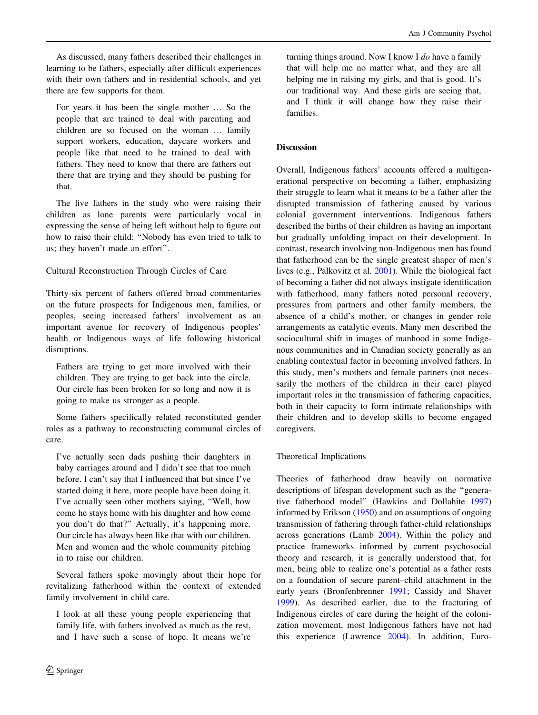As discussed, many fathers described their challenges in learning to be fathers, especially after difficult experiences with their own fathers and in residential schools, and yet there are few supports for them.

For years it has been the single mother … So the people that are trained to deal with parenting and children are so focused on the woman … family support workers, education, daycare workers and people like that need to be trained to deal with fathers. They need to know that there are fathers out there that are trying and they should be pushing for that.

The five fathers in the study who were raising their children as lone parents were particularly vocal in expressing the sense of being left without help to figure out how to raise their child: ''Nobody has even tried to talk to us; they haven't made an effort''.

# Cultural Reconstruction Through Circles of Care

Thirty-six percent of fathers offered broad commentaries on the future prospects for Indigenous men, families, or peoples, seeing increased fathers' involvement as an important avenue for recovery of Indigenous peoples' health or Indigenous ways of life following historical disruptions.

Fathers are trying to get more involved with their children. They are trying to get back into the circle. Our circle has been broken for so long and now it is going to make us stronger as a people.

Some fathers specifically related reconstituted gender roles as a pathway to reconstructing communal circles of care.

I've actually seen dads pushing their daughters in baby carriages around and I didn't see that too much before. I can't say that I influenced that but since I've started doing it here, more people have been doing it. I've actually seen other mothers saying, ''Well, how come he stays home with his daughter and how come you don't do that?'' Actually, it's happening more. Our circle has always been like that with our children. Men and women and the whole community pitching in to raise our children.

Several fathers spoke movingly about their hope for revitalizing fatherhood within the context of extended family involvement in child care.

I look at all these young people experiencing that family life, with fathers involved as much as the rest, and I have such a sense of hope. It means we're

turning things around. Now I know I do have a family that will help me no matter what, and they are all helping me in raising my girls, and that is good. It's our traditional way. And these girls are seeing that, and I think it will change how they raise their families.

# Discussion

Overall, Indigenous fathers' accounts offered a multigenerational perspective on becoming a father, emphasizing their struggle to learn what it means to be a father after the disrupted transmission of fathering caused by various colonial government interventions. Indigenous fathers described the births of their children as having an important but gradually unfolding impact on their development. In contrast, research involving non-Indigenous men has found that fatherhood can be the single greatest shaper of men's lives (e.g., Palkovitz et al. [2001\)](#page-13-0). While the biological fact of becoming a father did not always instigate identification with fatherhood, many fathers noted personal recovery, pressures from partners and other family members, the absence of a child's mother, or changes in gender role arrangements as catalytic events. Many men described the sociocultural shift in images of manhood in some Indigenous communities and in Canadian society generally as an enabling contextual factor in becoming involved fathers. In this study, men's mothers and female partners (not necessarily the mothers of the children in their care) played important roles in the transmission of fathering capacities, both in their capacity to form intimate relationships with their children and to develop skills to become engaged caregivers.

# Theoretical Implications

Theories of fatherhood draw heavily on normative descriptions of lifespan development such as the ''generative fatherhood model'' (Hawkins and Dollahite [1997\)](#page-13-0) informed by Erikson [\(1950](#page-12-0)) and on assumptions of ongoing transmission of fathering through father-child relationships across generations (Lamb [2004\)](#page-13-0). Within the policy and practice frameworks informed by current psychosocial theory and research, it is generally understood that, for men, being able to realize one's potential as a father rests on a foundation of secure parent–child attachment in the early years (Bronfenbrenner [1991;](#page-12-0) Cassidy and Shaver [1999](#page-12-0)). As described earlier, due to the fracturing of Indigenous circles of care during the height of the colonization movement, most Indigenous fathers have not had this experience (Lawrence [2004](#page-13-0)). In addition, Euro-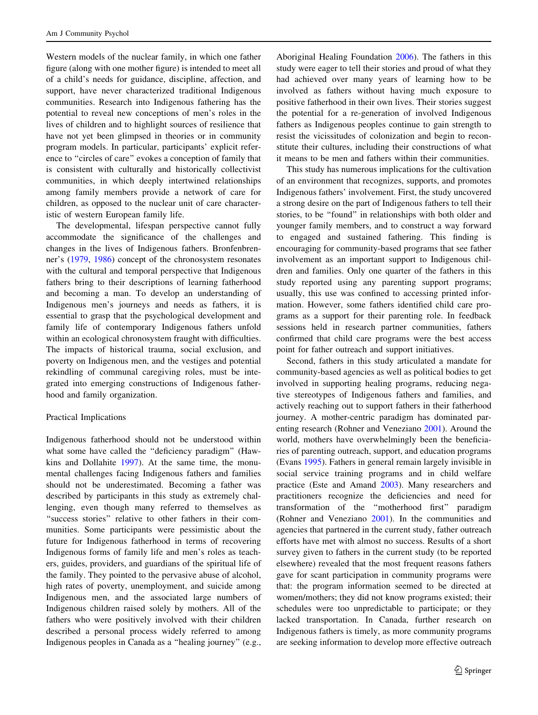Western models of the nuclear family, in which one father figure (along with one mother figure) is intended to meet all of a child's needs for guidance, discipline, affection, and support, have never characterized traditional Indigenous communities. Research into Indigenous fathering has the potential to reveal new conceptions of men's roles in the lives of children and to highlight sources of resilience that have not yet been glimpsed in theories or in community program models. In particular, participants' explicit reference to ''circles of care'' evokes a conception of family that is consistent with culturally and historically collectivist communities, in which deeply intertwined relationships among family members provide a network of care for children, as opposed to the nuclear unit of care characteristic of western European family life.

The developmental, lifespan perspective cannot fully accommodate the significance of the challenges and changes in the lives of Indigenous fathers. Bronfenbrenner's ([1979,](#page-12-0) [1986\)](#page-12-0) concept of the chronosystem resonates with the cultural and temporal perspective that Indigenous fathers bring to their descriptions of learning fatherhood and becoming a man. To develop an understanding of Indigenous men's journeys and needs as fathers, it is essential to grasp that the psychological development and family life of contemporary Indigenous fathers unfold within an ecological chronosystem fraught with difficulties. The impacts of historical trauma, social exclusion, and poverty on Indigenous men, and the vestiges and potential rekindling of communal caregiving roles, must be integrated into emerging constructions of Indigenous fatherhood and family organization.

#### Practical Implications

Indigenous fatherhood should not be understood within what some have called the "deficiency paradigm" (Hawkins and Dollahite [1997\)](#page-13-0). At the same time, the monumental challenges facing Indigenous fathers and families should not be underestimated. Becoming a father was described by participants in this study as extremely challenging, even though many referred to themselves as "success stories" relative to other fathers in their communities. Some participants were pessimistic about the future for Indigenous fatherhood in terms of recovering Indigenous forms of family life and men's roles as teachers, guides, providers, and guardians of the spiritual life of the family. They pointed to the pervasive abuse of alcohol, high rates of poverty, unemployment, and suicide among Indigenous men, and the associated large numbers of Indigenous children raised solely by mothers. All of the fathers who were positively involved with their children described a personal process widely referred to among Indigenous peoples in Canada as a ''healing journey'' (e.g.,

Aboriginal Healing Foundation [2006](#page-12-0)). The fathers in this study were eager to tell their stories and proud of what they had achieved over many years of learning how to be involved as fathers without having much exposure to positive fatherhood in their own lives. Their stories suggest the potential for a re-generation of involved Indigenous fathers as Indigenous peoples continue to gain strength to resist the vicissitudes of colonization and begin to reconstitute their cultures, including their constructions of what it means to be men and fathers within their communities.

This study has numerous implications for the cultivation of an environment that recognizes, supports, and promotes Indigenous fathers' involvement. First, the study uncovered a strong desire on the part of Indigenous fathers to tell their stories, to be ''found'' in relationships with both older and younger family members, and to construct a way forward to engaged and sustained fathering. This finding is encouraging for community-based programs that see father involvement as an important support to Indigenous children and families. Only one quarter of the fathers in this study reported using any parenting support programs; usually, this use was confined to accessing printed information. However, some fathers identified child care programs as a support for their parenting role. In feedback sessions held in research partner communities, fathers confirmed that child care programs were the best access point for father outreach and support initiatives.

Second, fathers in this study articulated a mandate for community-based agencies as well as political bodies to get involved in supporting healing programs, reducing negative stereotypes of Indigenous fathers and families, and actively reaching out to support fathers in their fatherhood journey. A mother-centric paradigm has dominated parenting research (Rohner and Veneziano [2001\)](#page-13-0). Around the world, mothers have overwhelmingly been the beneficiaries of parenting outreach, support, and education programs (Evans [1995](#page-12-0)). Fathers in general remain largely invisible in social service training programs and in child welfare practice (Este and Amand [2003](#page-12-0)). Many researchers and practitioners recognize the deficiencies and need for transformation of the ''motherhood first'' paradigm (Rohner and Veneziano [2001](#page-13-0)). In the communities and agencies that partnered in the current study, father outreach efforts have met with almost no success. Results of a short survey given to fathers in the current study (to be reported elsewhere) revealed that the most frequent reasons fathers gave for scant participation in community programs were that: the program information seemed to be directed at women/mothers; they did not know programs existed; their schedules were too unpredictable to participate; or they lacked transportation. In Canada, further research on Indigenous fathers is timely, as more community programs are seeking information to develop more effective outreach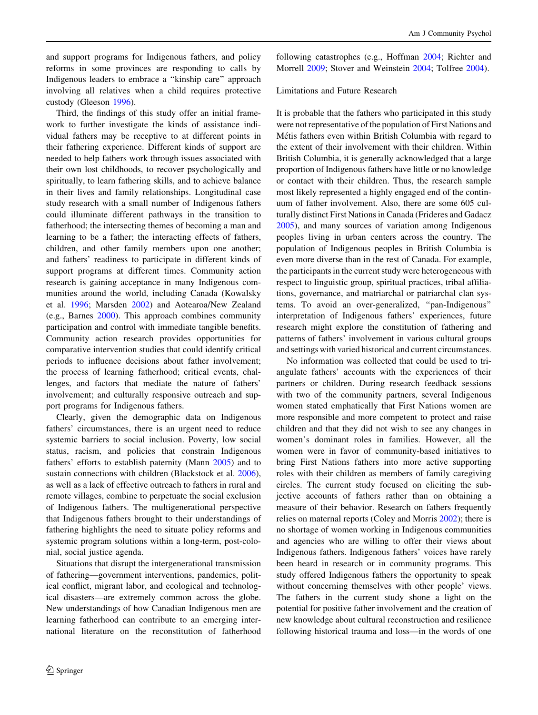and support programs for Indigenous fathers, and policy reforms in some provinces are responding to calls by Indigenous leaders to embrace a ''kinship care'' approach involving all relatives when a child requires protective custody (Gleeson [1996\)](#page-13-0).

Third, the findings of this study offer an initial framework to further investigate the kinds of assistance individual fathers may be receptive to at different points in their fathering experience. Different kinds of support are needed to help fathers work through issues associated with their own lost childhoods, to recover psychologically and spiritually, to learn fathering skills, and to achieve balance in their lives and family relationships. Longitudinal case study research with a small number of Indigenous fathers could illuminate different pathways in the transition to fatherhood; the intersecting themes of becoming a man and learning to be a father; the interacting effects of fathers, children, and other family members upon one another; and fathers' readiness to participate in different kinds of support programs at different times. Community action research is gaining acceptance in many Indigenous communities around the world, including Canada (Kowalsky et al. [1996](#page-13-0); Marsden [2002\)](#page-13-0) and Aotearoa/New Zealand (e.g., Barnes [2000\)](#page-12-0). This approach combines community participation and control with immediate tangible benefits. Community action research provides opportunities for comparative intervention studies that could identify critical periods to influence decisions about father involvement; the process of learning fatherhood; critical events, challenges, and factors that mediate the nature of fathers' involvement; and culturally responsive outreach and support programs for Indigenous fathers.

Clearly, given the demographic data on Indigenous fathers' circumstances, there is an urgent need to reduce systemic barriers to social inclusion. Poverty, low social status, racism, and policies that constrain Indigenous fathers' efforts to establish paternity (Mann [2005\)](#page-13-0) and to sustain connections with children (Blackstock et al. [2006](#page-12-0)), as well as a lack of effective outreach to fathers in rural and remote villages, combine to perpetuate the social exclusion of Indigenous fathers. The multigenerational perspective that Indigenous fathers brought to their understandings of fathering highlights the need to situate policy reforms and systemic program solutions within a long-term, post-colonial, social justice agenda.

Situations that disrupt the intergenerational transmission of fathering—government interventions, pandemics, political conflict, migrant labor, and ecological and technological disasters—are extremely common across the globe. New understandings of how Canadian Indigenous men are learning fatherhood can contribute to an emerging international literature on the reconstitution of fatherhood

following catastrophes (e.g., Hoffman [2004;](#page-13-0) Richter and Morrell [2009;](#page-13-0) Stover and Weinstein [2004](#page-14-0); Tolfree [2004](#page-14-0)).

#### Limitations and Future Research

It is probable that the fathers who participated in this study were not representative of the population of First Nations and Métis fathers even within British Columbia with regard to the extent of their involvement with their children. Within British Columbia, it is generally acknowledged that a large proportion of Indigenous fathers have little or no knowledge or contact with their children. Thus, the research sample most likely represented a highly engaged end of the continuum of father involvement. Also, there are some 605 culturally distinct First Nations in Canada (Frideres and Gadacz [2005](#page-13-0)), and many sources of variation among Indigenous peoples living in urban centers across the country. The population of Indigenous peoples in British Columbia is even more diverse than in the rest of Canada. For example, the participants in the current study were heterogeneous with respect to linguistic group, spiritual practices, tribal affiliations, governance, and matriarchal or patriarchal clan systems. To avoid an over-generalized, ''pan-Indigenous'' interpretation of Indigenous fathers' experiences, future research might explore the constitution of fathering and patterns of fathers' involvement in various cultural groups and settings with varied historical and current circumstances.

No information was collected that could be used to triangulate fathers' accounts with the experiences of their partners or children. During research feedback sessions with two of the community partners, several Indigenous women stated emphatically that First Nations women are more responsible and more competent to protect and raise children and that they did not wish to see any changes in women's dominant roles in families. However, all the women were in favor of community-based initiatives to bring First Nations fathers into more active supporting roles with their children as members of family caregiving circles. The current study focused on eliciting the subjective accounts of fathers rather than on obtaining a measure of their behavior. Research on fathers frequently relies on maternal reports (Coley and Morris [2002\)](#page-12-0); there is no shortage of women working in Indigenous communities and agencies who are willing to offer their views about Indigenous fathers. Indigenous fathers' voices have rarely been heard in research or in community programs. This study offered Indigenous fathers the opportunity to speak without concerning themselves with other people' views. The fathers in the current study shone a light on the potential for positive father involvement and the creation of new knowledge about cultural reconstruction and resilience following historical trauma and loss—in the words of one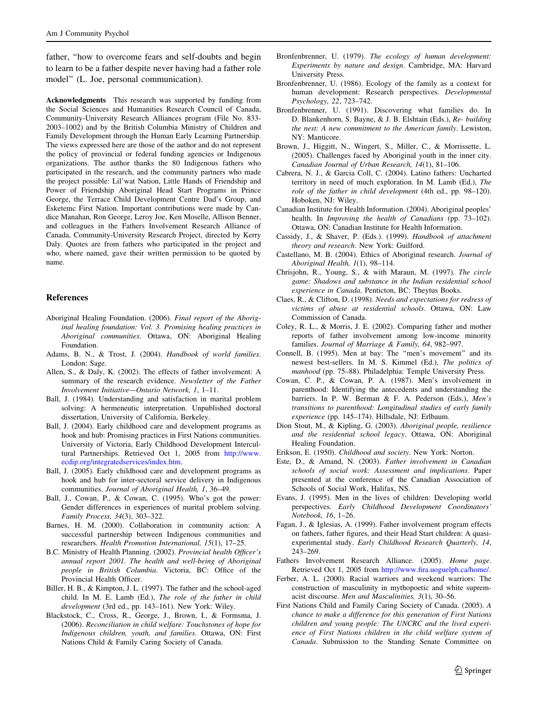<span id="page-12-0"></span>father, ''how to overcome fears and self-doubts and begin to learn to be a father despite never having had a father role model'' (L. Joe, personal communication).

Acknowledgments This research was supported by funding from the Social Sciences and Humanities Research Council of Canada, Community-University Research Alliances program (File No. 833- 2003–1002) and by the British Columbia Ministry of Children and Family Development through the Human Early Learning Partnership. The views expressed here are those of the author and do not represent the policy of provincial or federal funding agencies or Indigenous organizations. The author thanks the 80 Indigenous fathers who participated in the research, and the community partners who made the project possible: Lil'wat Nation, Little Hands of Friendship and Power of Friendship Aboriginal Head Start Programs in Prince George, the Terrace Child Development Centre Dad's Group, and Esketemc First Nation. Important contributions were made by Candice Manahan, Ron George, Leroy Joe, Ken Moselle, Allison Benner, and colleagues in the Fathers Involvement Research Alliance of Canada, Community-University Research Project, directed by Kerry Daly. Quotes are from fathers who participated in the project and who, where named, gave their written permission to be quoted by name.

#### References

- Aboriginal Healing Foundation. (2006). Final report of the Aboriginal healing foundation: Vol. 3. Promising healing practices in Aboriginal communities. Ottawa, ON: Aboriginal Healing Foundation.
- Adams, B. N., & Trost, J. (2004). Handbook of world families. London: Sage.
- Allen, S., & Daly, K. (2002). The effects of father involvement: A summary of the research evidence. Newsletter of the Father Involvement Initiative—Ontario Network, 1, 1–11.
- Ball, J. (1984). Understanding and satisfaction in marital problem solving: A hermeneutic interpretation. Unpublished doctoral dissertation, University of California, Berkeley.
- Ball, J. (2004). Early childhood care and development programs as hook and hub: Promising practices in First Nations communities. University of Victoria, Early Childhood Development Intercultural Partnerships. Retrieved Oct 1, 2005 from [http://www.](http://www.ecdip.org/integratedservices/index.htm) [ecdip.org/integratedservices/index.htm](http://www.ecdip.org/integratedservices/index.htm).
- Ball, J. (2005). Early childhood care and development programs as hook and hub for inter-sectoral service delivery in Indigenous communities. Journal of Aboriginal Health, 1, 36–49.
- Ball, J., Cowan, P., & Cowan, C. (1995). Who's got the power: Gender differences in experiences of marital problem solving. Family Process, 34(3), 303–322.
- Barnes, H. M. (2000). Collaboration in community action: A successful partnership between Indigenous communities and researchers. Health Promotion International, 15(1), 17–25.
- B.C. Ministry of Health Planning. (2002). Provincial health Officer's annual report 2001. The health and well-being of Aboriginal people in British Columbia. Victoria, BC: Office of the Provincial Health Officer.
- Biller, H. B., & Kimpton, J. L. (1997). The father and the school-aged child. In M. E. Lamb (Ed.), The role of the father in child development (3rd ed., pp. 143–161). New York: Wiley.
- Blackstock, C., Cross, R., George, J., Brown, I., & Formsma, J. (2006). Reconciliation in child welfare: Touchstones of hope for Indigenous children, youth, and families. Ottawa, ON: First Nations Child & Family Caring Society of Canada.
- Bronfenbrenner, U. (1979). The ecology of human development: Experiments by nature and design. Cambridge, MA: Harvard University Press.
- Bronfenbrenner, U. (1986). Ecology of the family as a context for human development: Research perspectives. Developmental Psychology, 22, 723–742.
- Bronfenbrenner, U. (1991). Discovering what families do. In D. Blankenhorn, S. Bayne, & J. B. Elshtain (Eds.), Re- building the nest: A new commitment to the American family. Lewiston, NY: Manticore.
- Brown, J., Higgitt, N., Wingert, S., Miller, C., & Morrissette, L. (2005). Challenges faced by Aboriginal youth in the inner city. Canadian Journal of Urban Research, 14(1), 81–106.
- Cabrera, N. J., & Garcia Coll, C. (2004). Latino fathers: Uncharted territory in need of much exploration. In M. Lamb (Ed.), The role of the father in child development (4th ed., pp. 98–120). Hoboken, NJ: Wiley.
- Canadian Institute for Health Information. (2004). Aboriginal peoples' health. In *Improving the health of Canadians* (pp. 73–102). Ottawa, ON: Canadian Institute for Health Information.
- Cassidy, J., & Shaver, P. (Eds.). (1999). Handbook of attachment theory and research. New York: Guilford.
- Castellano, M. B. (2004). Ethics of Aboriginal research. Journal of Aboriginal Health, 1(1), 98–114.
- Chrisjohn, R., Young, S., & with Maraun, M. (1997). The circle game: Shadows and substance in the Indian residential school experience in Canada. Penticton, BC: Theytus Books.
- Claes, R., & Clifton, D. (1998). Needs and expectations for redress of victims of abuse at residential schools. Ottawa, ON: Law Commission of Canada.
- Coley, R. L., & Morris, J. E. (2002). Comparing father and mother reports of father involvement among low-income minority families. Journal of Marriage & Family, 64, 982-997.
- Connell, B. (1995). Men at bay: The ''men's movement'' and its newest best-sellers. In M. S. Kimmel (Ed.), The politics of manhood (pp. 75–88). Philadelphia: Temple University Press.
- Cowan, C. P., & Cowan, P. A. (1987). Men's involvement in parenthood: Identifying the antecedents and understanding the barriers. In P. W. Berman & F. A. Pederson (Eds.), Men's transitions to parenthood: Longitudinal studies of early family experience (pp. 145–174). Hillsdale, NJ: Erlbaum.
- Dion Stout, M., & Kipling, G. (2003). Aboriginal people, resilience and the residential school legacy. Ottawa, ON: Aboriginal Healing Foundation.
- Erikson, E. (1950). Childhood and society. New York: Norton.
- Este, D., & Amand, N. (2003). Father involvement in Canadian schools of social work: Assessment and implications. Paper presented at the conference of the Canadian Association of Schools of Social Work, Halifax, NS.
- Evans, J. (1995). Men in the lives of children: Developing world perspectives. Early Childhood Development Coordinators' Notebook, 16, 1–26.
- Fagan, J., & Iglesias, A. (1999). Father involvement program effects on fathers, father figures, and their Head Start children: A quasiexperimental study. Early Childhood Research Quarterly, 14, 243–269.
- Fathers Involvement Research Alliance. (2005). Home page. Retrieved Oct 1, 2005 from [http://www.fira.uoguelph.ca/home/.](http://www.fira.uoguelph.ca/home/)
- Ferber, A. L. (2000). Racial warriors and weekend warriors: The construction of masculinity in mythopoetic and white supremacist discourse. Men and Masculinities, 3(1), 30–56.
- First Nations Child and Family Caring Society of Canada. (2005). A chance to make a difference for this generation of First Nations children and young people: The UNCRC and the lived experience of First Nations children in the child welfare system of Canada. Submission to the Standing Senate Committee on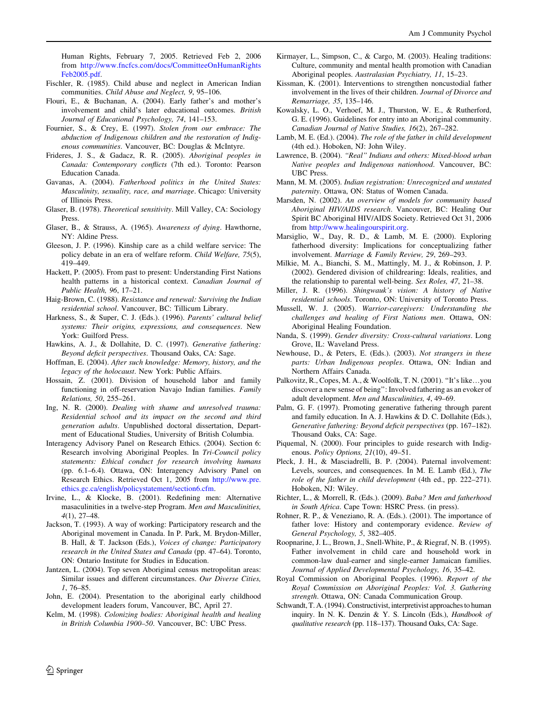<span id="page-13-0"></span>Human Rights, February 7, 2005. Retrieved Feb 2, 2006 from [http://www.fncfcs.com/docs/CommitteeOnHumanRights](http://www.fncfcs.com/docs/CommitteeOnHumanRightsFeb2005.pdf) [Feb2005.pdf](http://www.fncfcs.com/docs/CommitteeOnHumanRightsFeb2005.pdf).

- Fischler, R. (1985). Child abuse and neglect in American Indian communities. Child Abuse and Neglect, 9, 95–106.
- Flouri, E., & Buchanan, A. (2004). Early father's and mother's involvement and child's later educational outcomes. British Journal of Educational Psychology, 74, 141–153.
- Fournier, S., & Crey, E. (1997). Stolen from our embrace: The abduction of Indigenous children and the restoration of Indigenous communities. Vancouver, BC: Douglas & McIntyre.
- Frideres, J. S., & Gadacz, R. R. (2005). Aboriginal peoples in Canada: Contemporary conflicts (7th ed.). Toronto: Pearson Education Canada.
- Gavanas, A. (2004). Fatherhood politics in the United States: Masculinity, sexuality, race, and marriage. Chicago: University of Illinois Press.
- Glaser, B. (1978). Theoretical sensitivity. Mill Valley, CA: Sociology Press.
- Glaser, B., & Strauss, A. (1965). Awareness of dying. Hawthorne, NY: Aldine Press.
- Gleeson, J. P. (1996). Kinship care as a child welfare service: The policy debate in an era of welfare reform. Child Welfare, 75(5), 419–449.
- Hackett, P. (2005). From past to present: Understanding First Nations health patterns in a historical context. Canadian Journal of Public Health, 96, 17–21.
- Haig-Brown, C. (1988). Resistance and renewal: Surviving the Indian residential school. Vancouver, BC: Tillicum Library.
- Harkness, S., & Super, C. J. (Eds.). (1996). Parents' cultural belief systems: Their origins, expressions, and consequences. New York: Guilford Press.
- Hawkins, A. J., & Dollahite, D. C. (1997). Generative fathering: Beyond deficit perspectives. Thousand Oaks, CA: Sage.
- Hoffman, E. (2004). After such knowledge: Memory, history, and the legacy of the holocaust. New York: Public Affairs.
- Hossain, Z. (2001). Division of household labor and family functioning in off-reservation Navajo Indian families. Family Relations, 50, 255–261.
- Ing, N. R. (2000). Dealing with shame and unresolved trauma: Residential school and its impact on the second and third generation adults. Unpublished doctoral dissertation, Department of Educational Studies, University of British Columbia.
- Interagency Advisory Panel on Research Ethics. (2004). Section 6: Research involving Aboriginal Peoples. In Tri-Council policy statements: Ethical conduct for research involving humans (pp. 6.1–6.4). Ottawa, ON: Interagency Advisory Panel on Research Ethics. Retrieved Oct 1, 2005 from [http://www.pre.](http://www.pre.ethics.gc.ca/english/policystatement/section6.cfm) [ethics.gc.ca/english/policystatement/section6.cfm.](http://www.pre.ethics.gc.ca/english/policystatement/section6.cfm)
- Irvine, L., & Klocke, B. (2001). Redefining men: Alternative masaculinities in a twelve-step Program. Men and Masculinities, 4(1), 27–48.
- Jackson, T. (1993). A way of working: Participatory research and the Aboriginal movement in Canada. In P. Park, M. Brydon-Miller, B. Hall, & T. Jackson (Eds.), Voices of change: Participatory research in the United States and Canada (pp. 47–64). Toronto, ON: Ontario Institute for Studies in Education.
- Jantzen, L. (2004). Top seven Aboriginal census metropolitan areas: Similar issues and different circumstances. Our Diverse Cities, 1, 76–85.
- John, E. (2004). Presentation to the aboriginal early childhood development leaders forum, Vancouver, BC, April 27.
- Kelm, M. (1998). Colonizing bodies: Aboriginal health and healing in British Columbia 1900–50. Vancouver, BC: UBC Press.
- Kirmayer, L., Simpson, C., & Cargo, M. (2003). Healing traditions: Culture, community and mental health promotion with Canadian Aboriginal peoples. Australasian Psychiatry, 11, 15–23.
- Kissman, K. (2001). Interventions to strengthen noncustodial father involvement in the lives of their children. Journal of Divorce and Remarriage, 35, 135–146.
- Kowalsky, L. O., Verhoef, M. J., Thurston, W. E., & Rutherford, G. E. (1996). Guidelines for entry into an Aboriginal community. Canadian Journal of Native Studies, 16(2), 267–282.
- Lamb, M. E. (Ed.). (2004). The role of the father in child development (4th ed.). Hoboken, NJ: John Wiley.
- Lawrence, B. (2004). ''Real'' Indians and others: Mixed-blood urban Native peoples and Indigenous nationhood. Vancouver, BC: UBC Press.
- Mann, M. M. (2005). Indian registration: Unrecognized and unstated paternity. Ottawa, ON: Status of Women Canada.
- Marsden, N. (2002). An overview of models for community based Aboriginal HIV/AIDS research. Vancouver, BC: Healing Our Spirit BC Aboriginal HIV/AIDS Society. Retrieved Oct 31, 2006 from <http://www.healingourspirit.org>.
- Marsiglio, W., Day, R. D., & Lamb, M. E. (2000). Exploring fatherhood diversity: Implications for conceptualizing father involvement. Marriage & Family Review, 29, 269–293.
- Milkie, M. A., Bianchi, S. M., Mattingly, M. J., & Robinson, J. P. (2002). Gendered division of childrearing: Ideals, realities, and the relationship to parental well-being. Sex Roles, 47, 21–38.
- Miller, J. R. (1996). Shingwauk's vision: A history of Native residential schools. Toronto, ON: University of Toronto Press.
- Mussell, W. J. (2005). Warrior-caregivers: Understanding the challenges and healing of First Nations men. Ottawa, ON: Aboriginal Healing Foundation.
- Nanda, S. (1999). Gender diversity: Cross-cultural variations. Long Grove, IL: Waveland Press.
- Newhouse, D., & Peters, E. (Eds.). (2003). Not strangers in these parts: Urban Indigenous peoples. Ottawa, ON: Indian and Northern Affairs Canada.
- Palkovitz, R., Copes, M. A., & Woolfolk, T. N. (2001). ''It's like…you discover a new sense of being'': Involved fathering as an evoker of adult development. Men and Masculinities, 4, 49–69.
- Palm, G. F. (1997). Promoting generative fathering through parent and family education. In A. J. Hawkins & D. C. Dollahite (Eds.), Generative fathering: Beyond deficit perspectives (pp. 167–182). Thousand Oaks, CA: Sage.
- Piquemal, N. (2000). Four principles to guide research with Indigenous. Policy Options, 21(10), 49-51.
- Pleck, J. H., & Masciadrelli, B. P. (2004). Paternal involvement: Levels, sources, and consequences. In M. E. Lamb (Ed.), The role of the father in child development (4th ed., pp. 222–271). Hoboken, NJ: Wiley.
- Richter, L., & Morrell, R. (Eds.). (2009). Baba? Men and fatherhood in South Africa. Cape Town: HSRC Press. (in press).
- Rohner, R. P., & Veneziano, R. A. (Eds.). (2001). The importance of father love: History and contemporary evidence. Review of General Psychology, 5, 382–405.
- Roopnarine, J. L., Brown, J., Snell-White, P., & Riegraf, N. B. (1995). Father involvement in child care and household work in common-law dual-earner and single-earner Jamaican families. Journal of Applied Developmental Psychology, 16, 35–42.
- Royal Commission on Aboriginal Peoples. (1996). Report of the Royal Commission on Aboriginal Peoples: Vol. 3. Gathering strength. Ottawa, ON: Canada Communication Group.
- Schwandt, T. A. (1994). Constructivist, interpretivist approaches to human inquiry. In N. K. Denzin & Y. S. Lincoln (Eds.), Handbook of qualitative research (pp. 118–137). Thousand Oaks, CA: Sage.